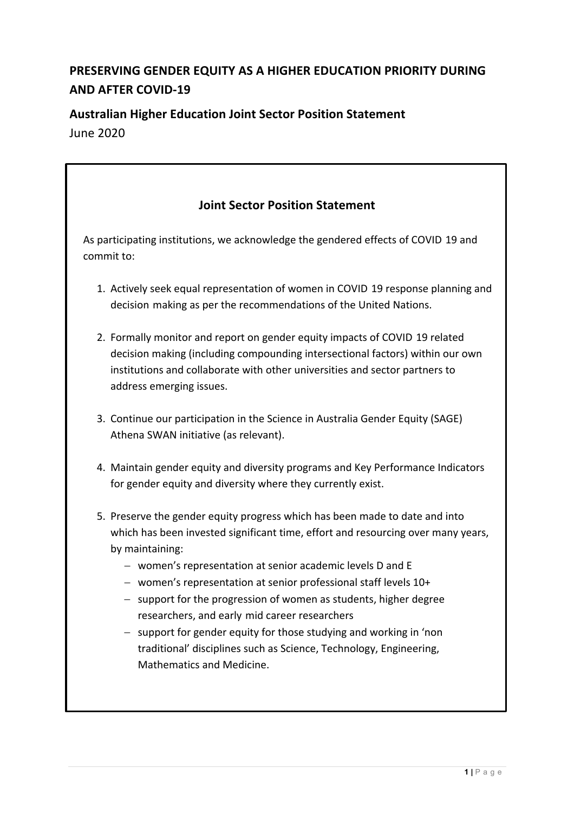# **PRESERVING GENDER EQUITY AS A HIGHER EDUCATION PRIORITY DURING AND AFTER COVID-19**

## **Australian Higher Education Joint Sector Position Statement** June 2020

# **Joint Sector Position Statement** As participating institutions, we acknowledge the gendered effects of COVID 19 and commit to: 1. Actively seek equal representation of women in COVID 19 response planning and decision making as per the recommendations of the United Nations. 2. Formally monitor and report on gender equity impacts of COVID 19 related decision making (including compounding intersectional factors) within our own institutions and collaborate with other universities and sector partners to address emerging issues. 3. Continue our participation in the Science in Australia Gender Equity (SAGE) Athena SWAN initiative (as relevant). 4. Maintain gender equity and diversity programs and Key Performance Indicators for gender equity and diversity where they currently exist. 5. Preserve the gender equity progress which has been made to date and into which has been invested significant time, effort and resourcing over many years, by maintaining: - women's representation at senior academic levels D and E  $-$  women's representation at senior professional staff levels  $10+$  $-$  support for the progression of women as students, higher degree researchers, and early mid career researchers  $-$  support for gender equity for those studying and working in 'non traditional' disciplines such as Science, Technology, Engineering, Mathematics and Medicine.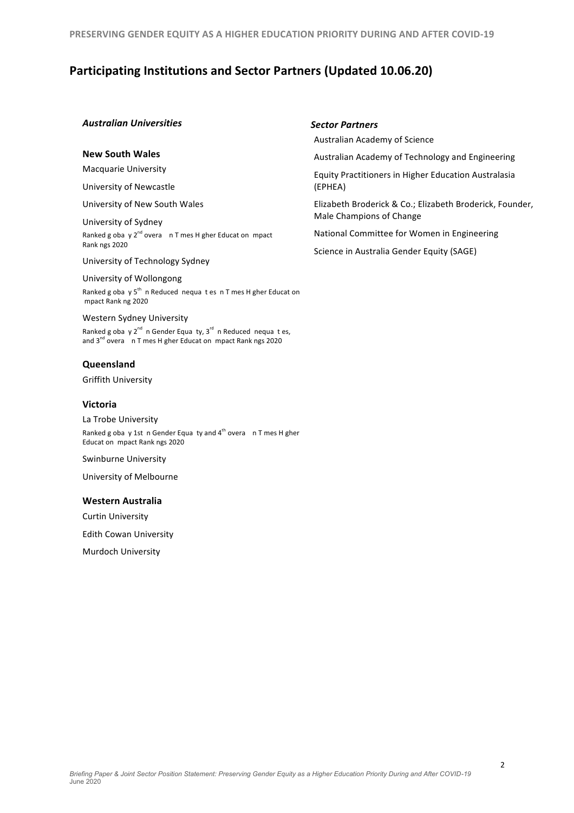**PRESERVING GENDER EQUITY AS A HIGHER EDUCATION PRIORITY DURING AND AFTER COVID-19** 

## **Participating Institutions and Sector Partners (Updated 10.06.20)**

#### *Australian Universities*

#### **New South Wales**

**Macquarie University** 

University of Newcastle 

University of New South Wales 

University of Sydney Ranked g oba  $y 2^{nd}$  overa  $nT$  mes H gher Educat on mpact Rank ngs 2020

University of Technology Sydney

University of Wollongong Ranked g oba  $y 5<sup>th</sup>$  n Reduced nequa t es n T mes H gher Educat on mpact Rank ng 2020

Western Sydney University

Ranked g oba y  $2^{nd}$  n Gender Equa ty,  $3^{rd}$  n Reduced nequa t es, and  $3^{nd}$  overa n T mes H gher Educat on mpact Rank ngs 2020

#### **Queensland**

Griffith University 

#### **Victoria**

La Trobe University Ranked g oba y 1st n Gender Equa ty and  $4^{th}$  overa n T mes H gher Educat on mpact Rank ngs 2020

Swinburne University

University of Melbourne

#### **Western Australia**

Curtin University 

**Edith Cowan University** 

**Murdoch University** 

#### *Sector Partners*

Australian Academy of Science 

Australian Academy of Technology and Engineering

Equity Practitioners in Higher Education Australasia (EPHEA)

Elizabeth Broderick & Co.; Elizabeth Broderick, Founder, Male Champions of Change

National Committee for Women in Engineering

Science in Australia Gender Equity (SAGE)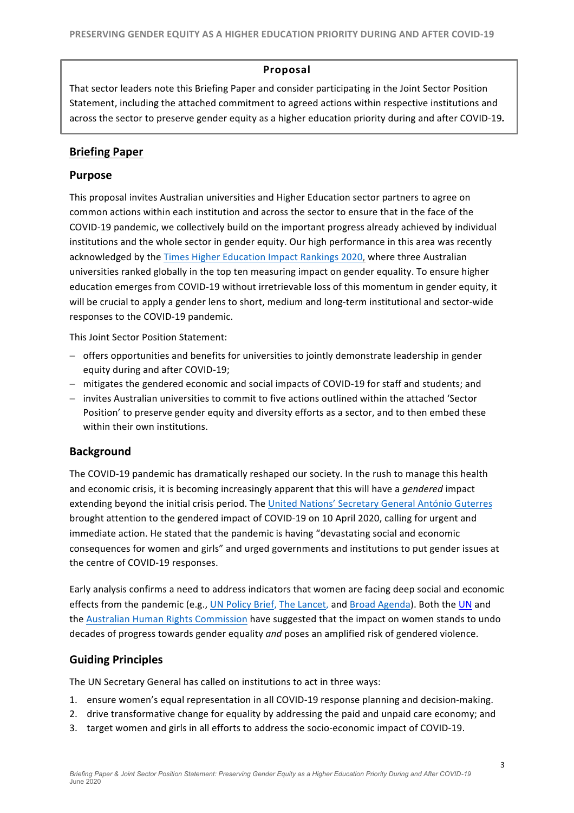### **Proposal**

That sector leaders note this Briefing Paper and consider participating in the Joint Sector Position Statement, including the attached commitment to agreed actions within respective institutions and across the sector to preserve gender equity as a higher education priority during and after COVID-19.

## **Briefing Paper**

### **Purpose**

This proposal invites Australian universities and Higher Education sector partners to agree on common actions within each institution and across the sector to ensure that in the face of the COVID-19 pandemic, we collectively build on the important progress already achieved by individual institutions and the whole sector in gender equity. Our high performance in this area was recently acknowledged by the Times Higher Education Impact Rankings 2020, where three Australian universities ranked globally in the top ten measuring impact on gender equality. To ensure higher education emerges from COVID-19 without irretrievable loss of this momentum in gender equity, it will be crucial to apply a gender lens to short, medium and long-term institutional and sector-wide responses to the COVID-19 pandemic.

This Joint Sector Position Statement:

- offers opportunities and benefits for universities to jointly demonstrate leadership in gender equity during and after COVID-19;
- mitigates the gendered economic and social impacts of COVID-19 for staff and students; and
- invites Australian universities to commit to five actions outlined within the attached 'Sector Position' to preserve gender equity and diversity efforts as a sector, and to then embed these within their own institutions.

## **Background**

The COVID-19 pandemic has dramatically reshaped our society. In the rush to manage this health and economic crisis, it is becoming increasingly apparent that this will have a *gendered* impact extending beyond the initial crisis period. The United Nations' Secretary General António Guterres brought attention to the gendered impact of COVID-19 on 10 April 2020, calling for urgent and immediate action. He stated that the pandemic is having "devastating social and economic consequences for women and girls" and urged governments and institutions to put gender issues at the centre of COVID-19 responses.

Early analysis confirms a need to address indicators that women are facing deep social and economic effects from the pandemic (e.g., UN Policy Brief, The Lancet, and Broad Agenda). Both the UN and the Australian Human Rights Commission have suggested that the impact on women stands to undo decades of progress towards gender equality *and* poses an amplified risk of gendered violence.

## **Guiding Principles**

The UN Secretary General has called on institutions to act in three ways:

- 1. ensure women's equal representation in all COVID-19 response planning and decision-making.
- 2. drive transformative change for equality by addressing the paid and unpaid care economy; and
- 3. target women and girls in all efforts to address the socio-economic impact of COVID-19.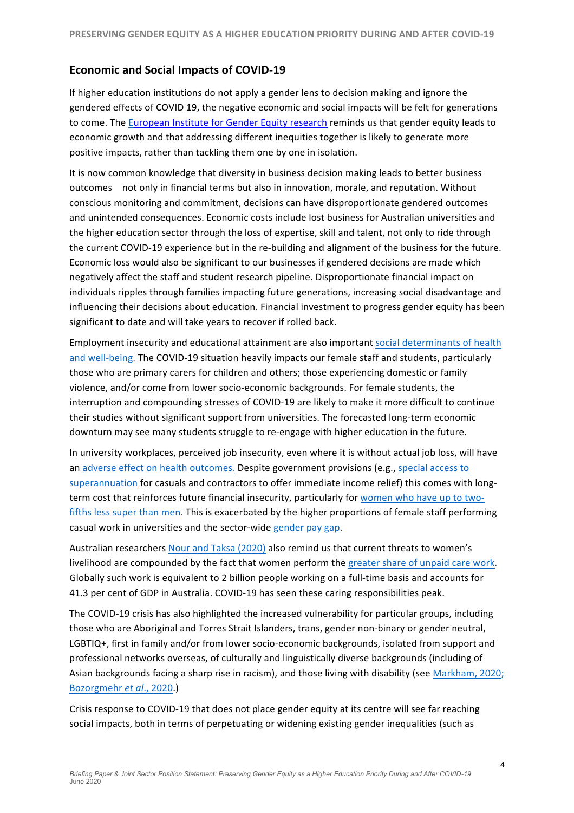## **Economic and Social Impacts of COVID-19**

If higher education institutions do not apply a gender lens to decision making and ignore the gendered effects of COVID 19, the negative economic and social impacts will be felt for generations to come. The European Institute for Gender Equity research reminds us that gender equity leads to economic growth and that addressing different inequities together is likely to generate more positive impacts, rather than tackling them one by one in isolation.

It is now common knowledge that diversity in business decision making leads to better business outcomes not only in financial terms but also in innovation, morale, and reputation. Without conscious monitoring and commitment, decisions can have disproportionate gendered outcomes and unintended consequences. Economic costs include lost business for Australian universities and the higher education sector through the loss of expertise, skill and talent, not only to ride through the current COVID-19 experience but in the re-building and alignment of the business for the future. Economic loss would also be significant to our businesses if gendered decisions are made which negatively affect the staff and student research pipeline. Disproportionate financial impact on individuals ripples through families impacting future generations, increasing social disadvantage and influencing their decisions about education. Financial investment to progress gender equity has been significant to date and will take years to recover if rolled back.

Employment insecurity and educational attainment are also important social determinants of health and well-being. The COVID-19 situation heavily impacts our female staff and students, particularly those who are primary carers for children and others; those experiencing domestic or family violence, and/or come from lower socio-economic backgrounds. For female students, the interruption and compounding stresses of COVID-19 are likely to make it more difficult to continue their studies without significant support from universities. The forecasted long-term economic downturn may see many students struggle to re-engage with higher education in the future.

In university workplaces, perceived job insecurity, even where it is without actual job loss, will have an adverse effect on health outcomes. Despite government provisions (e.g., special access to superannuation for casuals and contractors to offer immediate income relief) this comes with longterm cost that reinforces future financial insecurity, particularly for women who have up to twofifths less super than men. This is exacerbated by the higher proportions of female staff performing casual work in universities and the sector-wide gender pay gap.

Australian researchers Nour and Taksa (2020) also remind us that current threats to women's livelihood are compounded by the fact that women perform the greater share of unpaid care work. Globally such work is equivalent to 2 billion people working on a full-time basis and accounts for 41.3 per cent of GDP in Australia. COVID-19 has seen these caring responsibilities peak.

The COVID-19 crisis has also highlighted the increased vulnerability for particular groups, including those who are Aboriginal and Torres Strait Islanders, trans, gender non-binary or gender neutral, LGBTIQ+, first in family and/or from lower socio-economic backgrounds, isolated from support and professional networks overseas, of culturally and linguistically diverse backgrounds (including of Asian backgrounds facing a sharp rise in racism), and those living with disability (see Markham, 2020; Bozorgmehr et al., 2020.)

Crisis response to COVID-19 that does not place gender equity at its centre will see far reaching social impacts, both in terms of perpetuating or widening existing gender inequalities (such as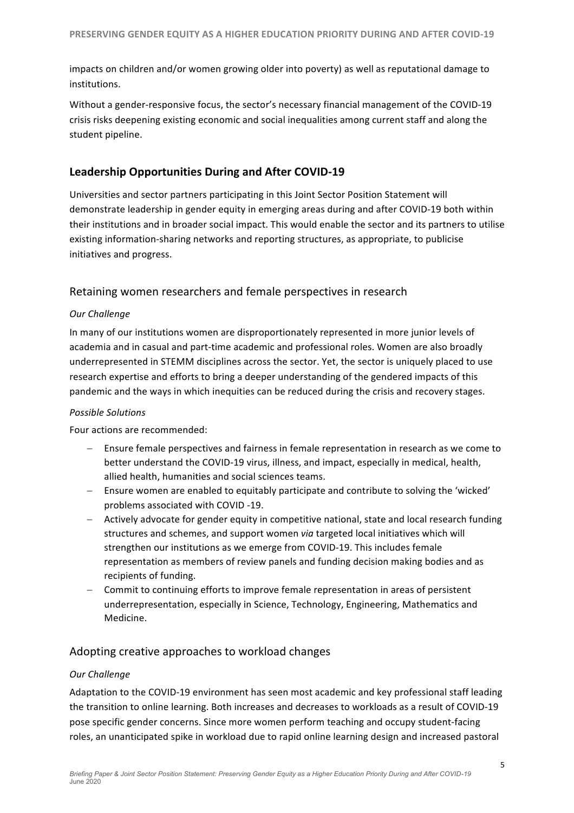impacts on children and/or women growing older into poverty) as well as reputational damage to institutions. 

Without a gender-responsive focus, the sector's necessary financial management of the COVID-19 crisis risks deepening existing economic and social inequalities among current staff and along the student pipeline.

## Leadership Opportunities During and After COVID-19

Universities and sector partners participating in this Joint Sector Position Statement will demonstrate leadership in gender equity in emerging areas during and after COVID-19 both within their institutions and in broader social impact. This would enable the sector and its partners to utilise existing information-sharing networks and reporting structures, as appropriate, to publicise initiatives and progress.

## Retaining women researchers and female perspectives in research

### *Our Challenge*

In many of our institutions women are disproportionately represented in more junior levels of academia and in casual and part-time academic and professional roles. Women are also broadly underrepresented in STEMM disciplines across the sector. Yet, the sector is uniquely placed to use research expertise and efforts to bring a deeper understanding of the gendered impacts of this pandemic and the ways in which inequities can be reduced during the crisis and recovery stages.

#### **Possible Solutions**

Four actions are recommended:

- Ensure female perspectives and fairness in female representation in research as we come to better understand the COVID-19 virus, illness, and impact, especially in medical, health, allied health, humanities and social sciences teams.
- Ensure women are enabled to equitably participate and contribute to solving the 'wicked' problems associated with COVID -19.
- $-$  Actively advocate for gender equity in competitive national, state and local research funding structures and schemes, and support women *via* targeted local initiatives which will strengthen our institutions as we emerge from COVID-19. This includes female representation as members of review panels and funding decision making bodies and as recipients of funding.
- $-$  Commit to continuing efforts to improve female representation in areas of persistent underrepresentation, especially in Science, Technology, Engineering, Mathematics and Medicine.

## Adopting creative approaches to workload changes

#### *Our Challenge*

Adaptation to the COVID-19 environment has seen most academic and key professional staff leading the transition to online learning. Both increases and decreases to workloads as a result of COVID-19 pose specific gender concerns. Since more women perform teaching and occupy student-facing roles, an unanticipated spike in workload due to rapid online learning design and increased pastoral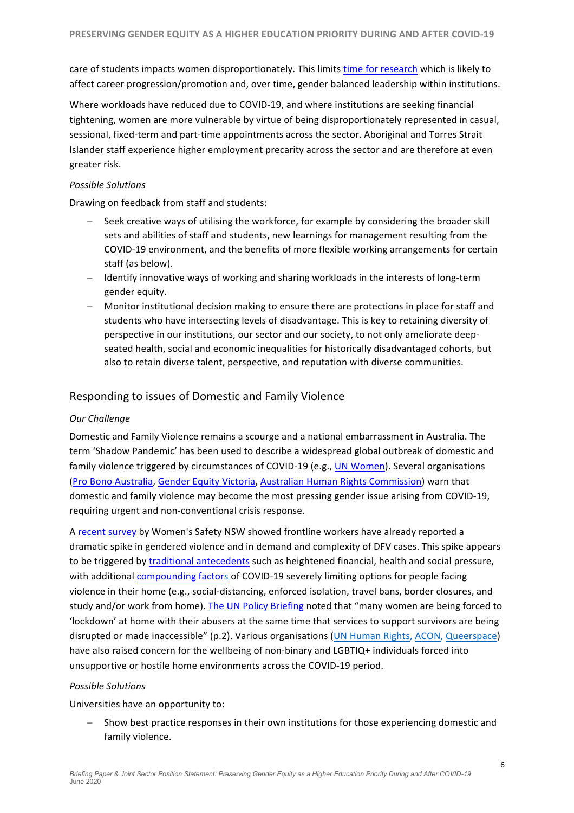care of students impacts women disproportionately. This limits time for research which is likely to affect career progression/promotion and, over time, gender balanced leadership within institutions.

Where workloads have reduced due to COVID-19, and where institutions are seeking financial tightening, women are more vulnerable by virtue of being disproportionately represented in casual, sessional, fixed-term and part-time appointments across the sector. Aboriginal and Torres Strait Islander staff experience higher employment precarity across the sector and are therefore at even greater risk.

#### *Possible Solutions*

Drawing on feedback from staff and students:

- Seek creative ways of utilising the workforce, for example by considering the broader skill sets and abilities of staff and students, new learnings for management resulting from the COVID-19 environment, and the benefits of more flexible working arrangements for certain staff (as below).
- Identify innovative ways of working and sharing workloads in the interests of long-term gender equity.
- Monitor institutional decision making to ensure there are protections in place for staff and students who have intersecting levels of disadvantage. This is key to retaining diversity of perspective in our institutions, our sector and our society, to not only ameliorate deepseated health, social and economic inequalities for historically disadvantaged cohorts, but also to retain diverse talent, perspective, and reputation with diverse communities.

## Responding to issues of Domestic and Family Violence

### *Our Challenge*

Domestic and Family Violence remains a scourge and a national embarrassment in Australia. The term 'Shadow Pandemic' has been used to describe a widespread global outbreak of domestic and family violence triggered by circumstances of COVID-19 (e.g., *UN Women*). Several organisations (Pro Bono Australia, Gender Equity Victoria, Australian Human Rights Commission) warn that domestic and family violence may become the most pressing gender issue arising from COVID-19, requiring urgent and non-conventional crisis response.

A recent survey by Women's Safety NSW showed frontline workers have already reported a dramatic spike in gendered violence and in demand and complexity of DFV cases. This spike appears to be triggered by traditional antecedents such as heightened financial, health and social pressure, with additional compounding factors of COVID-19 severely limiting options for people facing violence in their home (e.g., social-distancing, enforced isolation, travel bans, border closures, and study and/or work from home). The UN Policy Briefing noted that "many women are being forced to 'lockdown' at home with their abusers at the same time that services to support survivors are being disrupted or made inaccessible" (p.2). Various organisations (UN Human Rights, ACON, Queerspace) have also raised concern for the wellbeing of non-binary and LGBTIQ+ individuals forced into unsupportive or hostile home environments across the COVID-19 period.

#### *Possible Solutions*

Universities have an opportunity to:

Show best practice responses in their own institutions for those experiencing domestic and family violence.